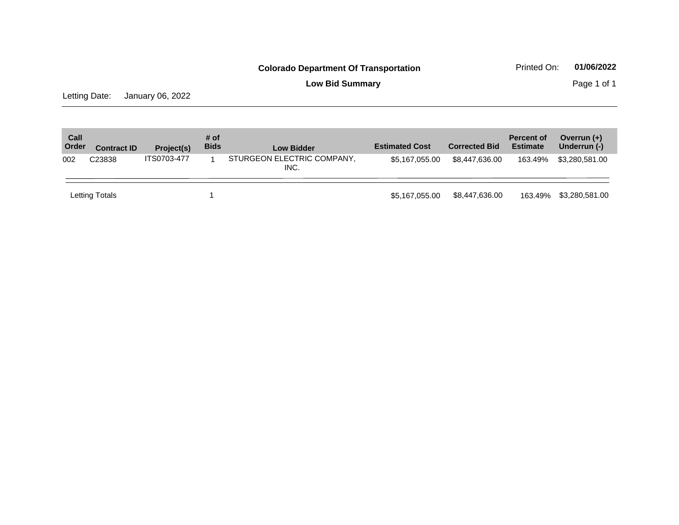**Low Bid Summary Page 1 of 1** 

Letting Date: January 06, 2022

| Call<br>Order | <b>Contract ID</b> | Project(s)  | # of<br><b>Bids</b> | <b>Low Bidder</b>                  | <b>Estimated Cost</b> | <b>Corrected Bid</b> | <b>Percent of</b><br><b>Estimate</b> | Overrun $(+)$<br>Underrun (-) |
|---------------|--------------------|-------------|---------------------|------------------------------------|-----------------------|----------------------|--------------------------------------|-------------------------------|
| 002           | C <sub>23838</sub> | ITS0703-477 |                     | STURGEON ELECTRIC COMPANY,<br>INC. | \$5,167,055.00        | \$8,447,636,00       | 163.49%                              | \$3,280,581.00                |
|               | Letting Totals     |             |                     |                                    | \$5.167.055.00        | \$8,447,636.00       | 163.49%                              | \$3,280,581.00                |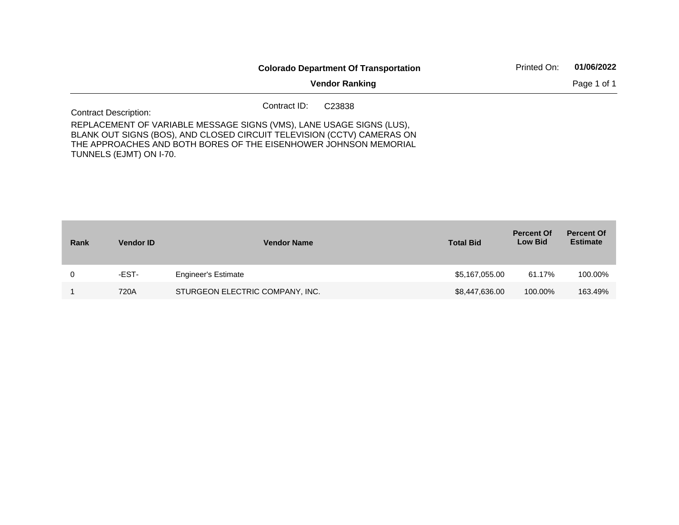|                                                                                                                                                                                                                                               |              | <b>Colorado Department Of Transportation</b> | Printed On: | 01/06/2022  |
|-----------------------------------------------------------------------------------------------------------------------------------------------------------------------------------------------------------------------------------------------|--------------|----------------------------------------------|-------------|-------------|
|                                                                                                                                                                                                                                               |              | <b>Vendor Ranking</b>                        |             | Page 1 of 1 |
| <b>Contract Description:</b>                                                                                                                                                                                                                  | Contract ID: | C <sub>23838</sub>                           |             |             |
| REPLACEMENT OF VARIABLE MESSAGE SIGNS (VMS), LANE USAGE SIGNS (LUS),<br>BLANK OUT SIGNS (BOS), AND CLOSED CIRCUIT TELEVISION (CCTV) CAMERAS ON<br>THE APPROACHES AND BOTH BORES OF THE EISENHOWER JOHNSON MEMORIAL<br>TUNNELS (EJMT) ON I-70. |              |                                              |             |             |

| Rank | <b>Vendor ID</b> | <b>Vendor Name</b>              | <b>Total Bid</b> | <b>Percent Of</b><br><b>Low Bid</b> | <b>Percent Of</b><br><b>Estimate</b> |
|------|------------------|---------------------------------|------------------|-------------------------------------|--------------------------------------|
| 0    | -EST-            | <b>Engineer's Estimate</b>      | \$5,167,055.00   | 61.17%                              | 100.00%                              |
|      | 720A             | STURGEON ELECTRIC COMPANY, INC. | \$8,447,636.00   | 100.00%                             | 163.49%                              |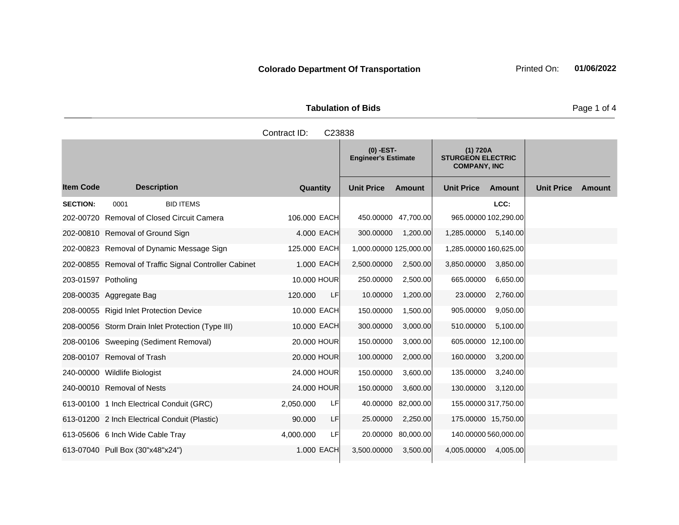| <b>Tabulation of Bids</b> |  |  |  |  |  |  |
|---------------------------|--|--|--|--|--|--|
| Contract ID: C23838       |  |  |  |  |  |  |

|                     |                                                        |                 | $(0)$ -EST-<br><b>Engineer's Estimate</b> |                    | (1) 720A<br><b>STURGEON ELECTRIC</b><br><b>COMPANY, INC</b> |          |                   |        |
|---------------------|--------------------------------------------------------|-----------------|-------------------------------------------|--------------------|-------------------------------------------------------------|----------|-------------------|--------|
| <b>Item Code</b>    | <b>Description</b>                                     | Quantity        | <b>Unit Price</b>                         | <b>Amount</b>      | <b>Unit Price</b>                                           | Amount   | <b>Unit Price</b> | Amount |
| <b>SECTION:</b>     | 0001<br><b>BID ITEMS</b>                               |                 |                                           |                    |                                                             | LCC:     |                   |        |
|                     | 202-00720 Removal of Closed Circuit Camera             | 106,000 EACH    | 450.00000 47,700.00                       |                    | 965.00000 102,290.00                                        |          |                   |        |
|                     | 202-00810 Removal of Ground Sign                       | 4.000 EACH      | 300.00000                                 | 1,200.00           | 1,285.00000                                                 | 5,140.00 |                   |        |
|                     | 202-00823 Removal of Dynamic Message Sign              | 125.000 EACH    | 1,000.00000 125,000.00                    |                    | 1,285.00000 160,625.00                                      |          |                   |        |
|                     | 202-00855 Removal of Traffic Signal Controller Cabinet | 1.000 EACH      | 2,500.00000                               | 2,500.00           | 3,850.00000                                                 | 3,850.00 |                   |        |
| 203-01597 Potholing |                                                        | 10,000 HOUR     | 250.00000                                 | 2,500.00           | 665.00000                                                   | 6,650.00 |                   |        |
|                     | 208-00035 Aggregate Bag                                | 120,000<br>LF   | 10.00000                                  | 1,200.00           | 23.00000                                                    | 2,760.00 |                   |        |
|                     | 208-00055 Rigid Inlet Protection Device                | 10.000 EACH     | 150.00000                                 | 1,500.00           | 905.00000                                                   | 9,050.00 |                   |        |
|                     | 208-00056 Storm Drain Inlet Protection (Type III)      | 10.000 EACH     | 300.00000                                 | 3,000.00           | 510.00000                                                   | 5,100.00 |                   |        |
|                     | 208-00106 Sweeping (Sediment Removal)                  | 20,000 HOUR     | 150.00000                                 | 3,000.00           | 605.00000 12,100.00                                         |          |                   |        |
|                     | 208-00107 Removal of Trash                             | 20,000 HOUR     | 100.00000                                 | 2,000.00           | 160.00000                                                   | 3,200.00 |                   |        |
|                     | 240-00000 Wildlife Biologist                           | 24.000 HOUR     | 150.00000                                 | 3,600.00           | 135.00000                                                   | 3,240.00 |                   |        |
|                     | 240-00010 Removal of Nests                             | 24.000 HOUR     | 150.00000                                 | 3,600.00           | 130.00000                                                   | 3,120.00 |                   |        |
|                     | 613-00100 1 Inch Electrical Conduit (GRC)              | LF<br>2,050.000 |                                           | 40.00000 82,000.00 | 155.00000 317,750.00                                        |          |                   |        |
|                     | 613-01200 2 Inch Electrical Conduit (Plastic)          | LF<br>90.000    | 25.00000                                  | 2,250.00           | 175.00000 15,750.00                                         |          |                   |        |
|                     | 613-05606 6 Inch Wide Cable Tray                       | LF<br>4,000.000 |                                           | 20.00000 80,000.00 | 140.00000 560,000.00                                        |          |                   |        |
|                     | 613-07040 Pull Box (30"x48"x24")                       | 1.000 EACH      | 3,500.00000                               | 3,500.00           | 4,005.00000                                                 | 4,005.00 |                   |        |

Page 1 of 4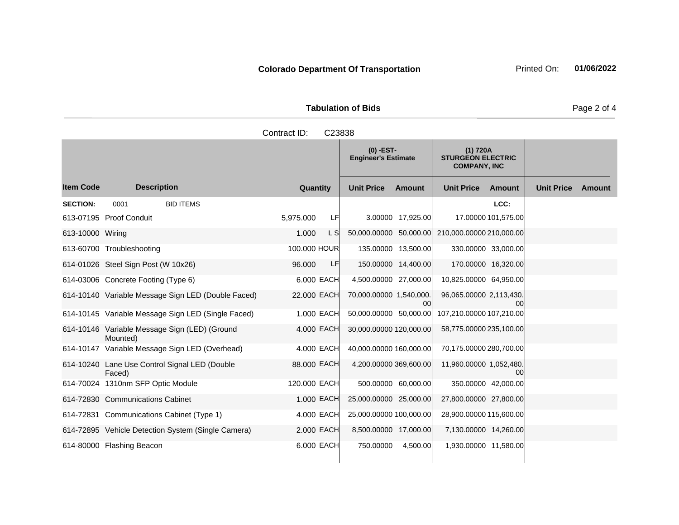| <b>Tabulation of Bids</b> |  |  |  |  |  |  |
|---------------------------|--|--|--|--|--|--|
| Contract ID: C23838       |  |  |  |  |  |  |

|                  |                                                           |                 | $(0)$ -EST-<br><b>Engineer's Estimate</b> | (1) 720A<br><b>STURGEON ELECTRIC</b><br><b>COMPANY, INC</b> |                             |
|------------------|-----------------------------------------------------------|-----------------|-------------------------------------------|-------------------------------------------------------------|-----------------------------|
| <b>Item Code</b> | <b>Description</b>                                        | Quantity        | <b>Unit Price</b><br>Amount               | <b>Unit Price</b><br>Amount                                 | <b>Unit Price</b><br>Amount |
| <b>SECTION:</b>  | 0001<br><b>BID ITEMS</b>                                  |                 |                                           | LCC:                                                        |                             |
|                  | 613-07195 Proof Conduit                                   | 5.975.000<br>LF | 3.00000 17,925.00                         | 17.00000 101,575.00                                         |                             |
| 613-10000 Wiring |                                                           | 1.000<br>L SI   | 50,000.00000 50,000.00                    | 210,000.00000 210,000.00                                    |                             |
|                  | 613-60700 Troubleshooting                                 | 100.000 HOUR    | 135.00000 13,500.00                       | 330.00000 33,000.00                                         |                             |
|                  | 614-01026 Steel Sign Post (W 10x26)                       | LF<br>96.000    | 150.00000 14,400.00                       | 170.00000 16,320.00                                         |                             |
|                  | 614-03006 Concrete Footing (Type 6)                       | 6,000 EACH      | 4,500.00000 27,000.00                     | 10,825.00000 64,950.00                                      |                             |
|                  | 614-10140 Variable Message Sign LED (Double Faced)        | 22.000 EACH     | 70,000.00000 1,540,000.<br>00             | 96,065,00000 2,113,430.<br>00                               |                             |
|                  | 614-10145 Variable Message Sign LED (Single Faced)        | 1.000 EACH      | 50,000.00000 50,000.00                    | 107,210.00000 107,210.00                                    |                             |
|                  | 614-10146 Variable Message Sign (LED) (Ground<br>Mounted) | 4.000 EACH      | 30,000.00000 120,000.00                   | 58,775.00000 235,100.00                                     |                             |
|                  | 614-10147 Variable Message Sign LED (Overhead)            | 4,000 EACH      | 40,000.00000 160,000.00                   | 70,175.00000 280,700.00                                     |                             |
|                  | 614-10240 Lane Use Control Signal LED (Double<br>Faced)   | 88,000 EACH     | 4,200.00000 369,600.00                    | 11,960.00000 1,052,480.<br>00                               |                             |
|                  | 614-70024 1310nm SFP Optic Module                         | 120.000 EACH    | 500.00000 60,000.00                       | 350.00000 42,000.00                                         |                             |
|                  | 614-72830 Communications Cabinet                          | 1.000 EACH      | 25,000.00000 25,000.00                    | 27,800.00000 27,800.00                                      |                             |
|                  | 614-72831 Communications Cabinet (Type 1)                 | 4,000 EACH      | 25,000.00000 100,000.00                   | 28,900.00000 115,600.00                                     |                             |
|                  | 614-72895 Vehicle Detection System (Single Camera)        | 2.000 EACH      | 8,500.00000 17,000.00                     | 7,130.00000 14,260.00                                       |                             |
|                  | 614-80000 Flashing Beacon                                 | 6,000 EACH      | 750.00000<br>4,500.00                     | 1,930.00000 11,580.00                                       |                             |

Page 2 of 4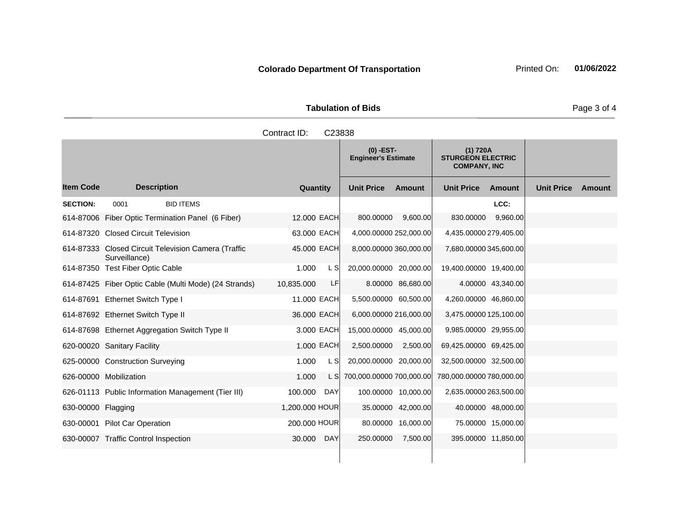|                    |                                                                      | Contract ID:   | C23838 |                                           |                    |                                                             |                     |                   |        |
|--------------------|----------------------------------------------------------------------|----------------|--------|-------------------------------------------|--------------------|-------------------------------------------------------------|---------------------|-------------------|--------|
|                    |                                                                      |                |        | $(0)$ -EST-<br><b>Engineer's Estimate</b> |                    | (1) 720A<br><b>STURGEON ELECTRIC</b><br><b>COMPANY, INC</b> |                     |                   |        |
| <b>Item Code</b>   | <b>Description</b>                                                   | Quantity       |        | <b>Unit Price</b>                         | Amount             | <b>Unit Price</b>                                           | Amount              | <b>Unit Price</b> | Amount |
| <b>SECTION:</b>    | 0001<br><b>BID ITEMS</b>                                             |                |        |                                           |                    |                                                             | LCC:                |                   |        |
|                    | 614-87006 Fiber Optic Termination Panel (6 Fiber)                    | 12.000 EACH    |        | 800.00000                                 | 9,600.00           | 830.00000                                                   | 9,960.00            |                   |        |
|                    | 614-87320 Closed Circuit Television                                  | 63,000 EACH    |        | 4,000.00000 252,000.00                    |                    | 4,435.00000 279,405.00                                      |                     |                   |        |
|                    | 614-87333 Closed Circuit Television Camera (Traffic<br>Surveillance) | 45.000 EACH    |        | 8,000.00000 360,000.00                    |                    | 7,680.00000 345,600.00                                      |                     |                   |        |
|                    | 614-87350 Test Fiber Optic Cable                                     | 1.000          | L SI   | 20,000.00000 20,000.00                    |                    | 19,400.00000 19,400.00                                      |                     |                   |        |
|                    | 614-87425 Fiber Optic Cable (Multi Mode) (24 Strands)                | 10,835.000     | LF     |                                           | 8.00000 86,680.00  |                                                             | 4.00000 43,340.00   |                   |        |
|                    | 614-87691 Ethernet Switch Type I                                     | 11.000 EACH    |        | 5,500.00000 60,500.00                     |                    | 4,260.00000 46,860.00                                       |                     |                   |        |
|                    | 614-87692 Ethernet Switch Type II                                    | 36.000 EACH    |        | 6,000.00000 216,000.00                    |                    | 3,475.00000 125,100.00                                      |                     |                   |        |
|                    | 614-87698 Ethernet Aggregation Switch Type II                        | 3.000 EACH     |        | 15,000.00000 45,000.00                    |                    | 9,985.00000 29,955.00                                       |                     |                   |        |
|                    | 620-00020 Sanitary Facility                                          | 1.000 EACH     |        | 2,500.00000                               | 2,500.00           | 69,425.00000 69,425.00                                      |                     |                   |        |
|                    | 625-00000 Construction Surveying                                     | 1.000          | L S    | 20,000.00000 20,000.00                    |                    | 32,500.00000 32,500.00                                      |                     |                   |        |
|                    | 626-00000 Mobilization                                               | 1.000          | L SI   | 700,000.00000 700,000.00                  |                    | 780,000.00000 780,000.00                                    |                     |                   |        |
|                    | 626-01113 Public Information Management (Tier III)                   | 100.000        | DAY    | 100.00000 10,000.00                       |                    | 2,635.00000 263,500.00                                      |                     |                   |        |
| 630-00000 Flagging |                                                                      | 1,200.000 HOUR |        |                                           | 35.00000 42,000.00 |                                                             | 40.00000 48,000.00  |                   |        |
|                    | 630-00001 Pilot Car Operation                                        | 200.000 HOUR   |        |                                           | 80.00000 16,000.00 |                                                             | 75.00000 15,000.00  |                   |        |
|                    | 630-00007 Traffic Control Inspection                                 | 30.000         | DAY    | 250.00000                                 | 7,500.00           |                                                             | 395.00000 11,850.00 |                   |        |
|                    |                                                                      |                |        |                                           |                    |                                                             |                     |                   |        |

Page 3 of 4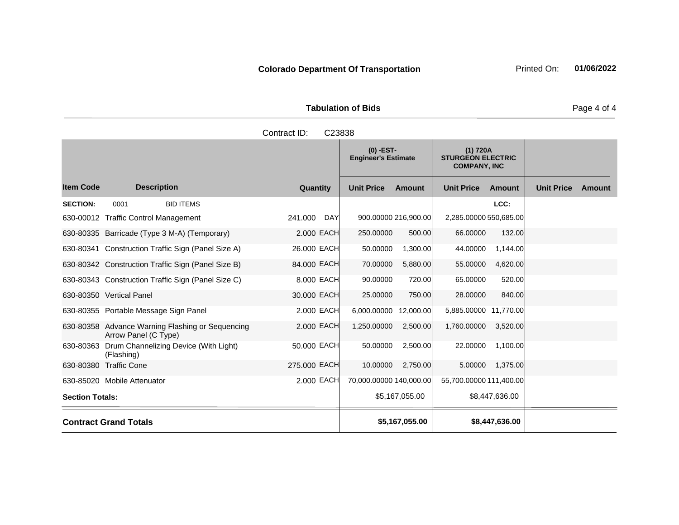| <b>Tabulation of Bids</b> |  |
|---------------------------|--|

|                        |                                                                          | Contract ID:<br>C23838 |                                                                                                          |                      |                         |                |                   |        |
|------------------------|--------------------------------------------------------------------------|------------------------|----------------------------------------------------------------------------------------------------------|----------------------|-------------------------|----------------|-------------------|--------|
|                        |                                                                          |                        | $(0)$ -EST-<br>(1) 720A<br><b>STURGEON ELECTRIC</b><br><b>Engineer's Estimate</b><br><b>COMPANY, INC</b> |                      |                         |                |                   |        |
| <b>Item Code</b>       | <b>Description</b>                                                       | Quantity               | <b>Unit Price</b>                                                                                        | <b>Amount</b>        | <b>Unit Price</b>       | Amount         | <b>Unit Price</b> | Amount |
| <b>SECTION:</b>        | <b>BID ITEMS</b><br>0001                                                 |                        |                                                                                                          |                      |                         | LCC:           |                   |        |
|                        | 630-00012 Traffic Control Management                                     | 241.000<br><b>DAY</b>  |                                                                                                          | 900.00000 216,900.00 | 2,285.00000 550,685.00  |                |                   |        |
|                        | 630-80335 Barricade (Type 3 M-A) (Temporary)                             | 2.000 EACH             | 250,00000                                                                                                | 500.00               | 66.00000                | 132.00         |                   |        |
|                        | 630-80341 Construction Traffic Sign (Panel Size A)                       | 26,000 EACH            | 50.00000                                                                                                 | 1,300.00             | 44.00000                | 1,144.00       |                   |        |
|                        | 630-80342 Construction Traffic Sign (Panel Size B)                       | 84.000 EACH            | 70.00000                                                                                                 | 5,880.00             | 55.00000                | 4,620.00       |                   |        |
|                        | 630-80343 Construction Traffic Sign (Panel Size C)                       | 8.000 EACH             | 90.00000                                                                                                 | 720.00               | 65.00000                | 520.00         |                   |        |
|                        | 630-80350 Vertical Panel                                                 | 30.000 EACH            | 25.00000                                                                                                 | 750.00               | 28.00000                | 840.00         |                   |        |
|                        | 630-80355 Portable Message Sign Panel                                    | 2.000 EACH             | 6,000.00000                                                                                              | 12,000.00            | 5,885.00000 11,770.00   |                |                   |        |
|                        | 630-80358 Advance Warning Flashing or Sequencing<br>Arrow Panel (C Type) | 2,000 EACH             | 1,250.00000                                                                                              | 2,500.00             | 1,760.00000             | 3,520.00       |                   |        |
| 630-80363              | Drum Channelizing Device (With Light)<br>(Flashing)                      | 50.000 EACH            | 50.00000                                                                                                 | 2,500.00             | 22.00000                | 1,100.00       |                   |        |
|                        | 630-80380 Traffic Cone                                                   | 275.000 EACH           | 10.00000                                                                                                 | 2,750.00             | 5.00000                 | 1,375.00       |                   |        |
|                        | 630-85020 Mobile Attenuator                                              | 2,000 EACH             | 70,000.00000 140,000.00                                                                                  |                      | 55,700.00000 111,400.00 |                |                   |        |
| <b>Section Totals:</b> |                                                                          |                        |                                                                                                          | \$5,167,055.00       |                         | \$8,447,636.00 |                   |        |
|                        | <b>Contract Grand Totals</b>                                             |                        |                                                                                                          | \$5,167,055.00       |                         | \$8,447,636.00 |                   |        |

Page 4 of 4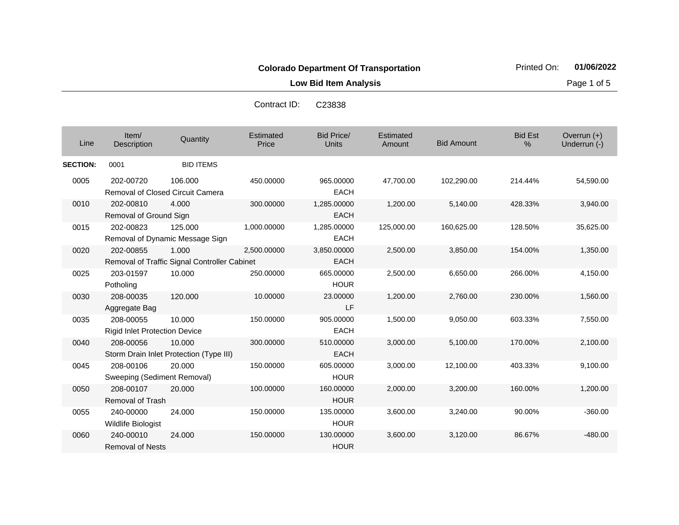**Low Bid Item Analysis Page 1 of 5** 

Contract ID: C23838

| Line            | Item/<br>Description                                 | Quantity                                              | Estimated<br>Price | <b>Bid Price/</b><br><b>Units</b> | Estimated<br>Amount | <b>Bid Amount</b> | <b>Bid Est</b><br>% | Overrun $(+)$<br>Underrun (-) |
|-----------------|------------------------------------------------------|-------------------------------------------------------|--------------------|-----------------------------------|---------------------|-------------------|---------------------|-------------------------------|
| <b>SECTION:</b> | 0001                                                 | <b>BID ITEMS</b>                                      |                    |                                   |                     |                   |                     |                               |
| 0005            | 202-00720<br><b>Removal of Closed Circuit Camera</b> | 106.000                                               | 450.00000          | 965.00000<br><b>EACH</b>          | 47,700.00           | 102,290.00        | 214.44%             | 54,590.00                     |
| 0010            | 202-00810<br>Removal of Ground Sign                  | 4.000                                                 | 300.00000          | 1,285.00000<br><b>EACH</b>        | 1,200.00            | 5,140.00          | 428.33%             | 3,940.00                      |
| 0015            | 202-00823                                            | 125.000<br>Removal of Dynamic Message Sign            | 1,000.00000        | 1,285.00000<br><b>EACH</b>        | 125,000.00          | 160,625.00        | 128.50%             | 35,625.00                     |
| 0020            | 202-00855                                            | 1.000<br>Removal of Traffic Signal Controller Cabinet | 2,500.00000        | 3,850.00000<br><b>EACH</b>        | 2,500.00            | 3,850.00          | 154.00%             | 1,350.00                      |
| 0025            | 203-01597<br>Potholing                               | 10.000                                                | 250.00000          | 665.00000<br><b>HOUR</b>          | 2,500.00            | 6,650.00          | 266.00%             | 4,150.00                      |
| 0030            | 208-00035<br>Aggregate Bag                           | 120,000                                               | 10.00000           | 23.00000<br>LF                    | 1,200.00            | 2,760.00          | 230.00%             | 1,560.00                      |
| 0035            | 208-00055<br><b>Rigid Inlet Protection Device</b>    | 10.000                                                | 150.00000          | 905.00000<br><b>EACH</b>          | 1,500.00            | 9,050.00          | 603.33%             | 7,550.00                      |
| 0040            | 208-00056                                            | 10.000<br>Storm Drain Inlet Protection (Type III)     | 300.00000          | 510.00000<br><b>EACH</b>          | 3,000.00            | 5,100.00          | 170.00%             | 2,100.00                      |
| 0045            | 208-00106<br>Sweeping (Sediment Removal)             | 20.000                                                | 150.00000          | 605.00000<br><b>HOUR</b>          | 3,000.00            | 12,100.00         | 403.33%             | 9,100.00                      |
| 0050            | 208-00107<br><b>Removal of Trash</b>                 | 20,000                                                | 100.00000          | 160.00000<br><b>HOUR</b>          | 2,000.00            | 3,200.00          | 160.00%             | 1,200.00                      |
| 0055            | 240-00000<br><b>Wildlife Biologist</b>               | 24.000                                                | 150.00000          | 135.00000<br><b>HOUR</b>          | 3,600.00            | 3,240.00          | 90.00%              | $-360.00$                     |
| 0060            | 240-00010<br><b>Removal of Nests</b>                 | 24.000                                                | 150.00000          | 130.00000<br><b>HOUR</b>          | 3,600.00            | 3,120.00          | 86.67%              | $-480.00$                     |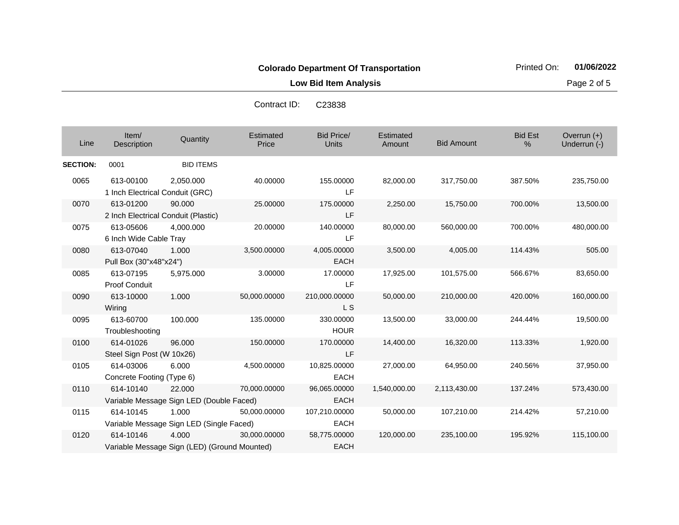**Low Bid Item Analysis Page 2 of 5** 

| Line            | Item/<br>Description                             | Quantity                                              | Estimated<br>Price | <b>Bid Price/</b><br><b>Units</b> | Estimated<br>Amount | <b>Bid Amount</b> | <b>Bid Est</b><br>$\%$ | Overrun $(+)$<br>Underrun (-) |
|-----------------|--------------------------------------------------|-------------------------------------------------------|--------------------|-----------------------------------|---------------------|-------------------|------------------------|-------------------------------|
| <b>SECTION:</b> | 0001                                             | <b>BID ITEMS</b>                                      |                    |                                   |                     |                   |                        |                               |
| 0065            | 613-00100<br>1 Inch Electrical Conduit (GRC)     | 2,050.000                                             | 40.00000           | 155.00000<br>1 F                  | 82,000.00           | 317,750.00        | 387.50%                | 235,750.00                    |
| 0070            | 613-01200<br>2 Inch Electrical Conduit (Plastic) | 90.000                                                | 25.00000           | 175.00000<br>LF                   | 2,250.00            | 15,750.00         | 700.00%                | 13,500.00                     |
| 0075            | 613-05606<br>6 Inch Wide Cable Tray              | 4.000.000                                             | 20.00000           | 140.00000<br>LF                   | 80,000.00           | 560,000.00        | 700.00%                | 480,000.00                    |
| 0080            | 613-07040<br>Pull Box (30"x48"x24")              | 1.000                                                 | 3,500.00000        | 4,005.00000<br><b>EACH</b>        | 3,500.00            | 4,005.00          | 114.43%                | 505.00                        |
| 0085            | 613-07195<br>Proof Conduit                       | 5,975.000                                             | 3.00000            | 17.00000<br>LF                    | 17,925.00           | 101,575.00        | 566.67%                | 83,650.00                     |
| 0090            | 613-10000<br>Wiring                              | 1.000                                                 | 50,000.00000       | 210,000.00000<br><b>LS</b>        | 50,000.00           | 210,000.00        | 420.00%                | 160,000.00                    |
| 0095            | 613-60700<br>Troubleshooting                     | 100.000                                               | 135.00000          | 330.00000<br><b>HOUR</b>          | 13,500.00           | 33,000.00         | 244.44%                | 19,500.00                     |
| 0100            | 614-01026<br>Steel Sign Post (W 10x26)           | 96.000                                                | 150.00000          | 170.00000<br><b>LF</b>            | 14,400.00           | 16,320.00         | 113.33%                | 1,920.00                      |
| 0105            | 614-03006<br>Concrete Footing (Type 6)           | 6.000                                                 | 4,500.00000        | 10,825.00000<br><b>EACH</b>       | 27,000.00           | 64,950.00         | 240.56%                | 37,950.00                     |
| 0110            | 614-10140                                        | 22,000<br>Variable Message Sign LED (Double Faced)    | 70,000.00000       | 96,065.00000<br><b>EACH</b>       | 1,540,000.00        | 2,113,430.00      | 137.24%                | 573,430.00                    |
| 0115            | 614-10145                                        | 1.000<br>Variable Message Sign LED (Single Faced)     | 50,000.00000       | 107,210.00000<br><b>EACH</b>      | 50,000.00           | 107,210.00        | 214.42%                | 57,210.00                     |
| 0120            | 614-10146                                        | 4.000<br>Variable Message Sign (LED) (Ground Mounted) | 30,000.00000       | 58,775.00000<br><b>EACH</b>       | 120,000.00          | 235,100.00        | 195.92%                | 115,100.00                    |

Contract ID: C23838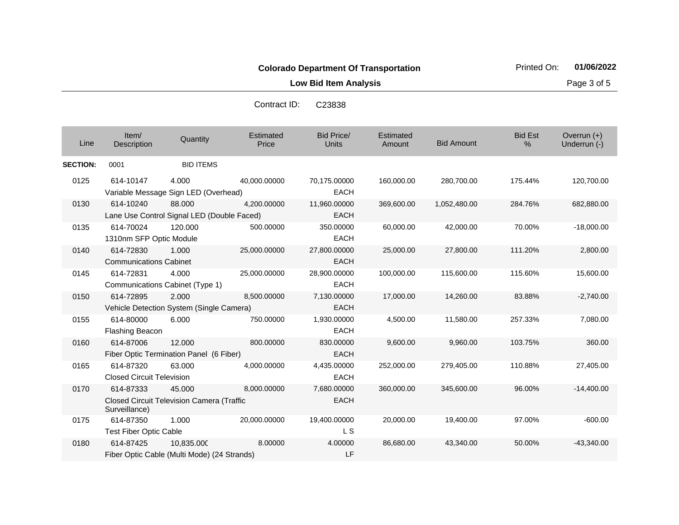**Low Bid Item Analysis Page 3 of 5** 

| Line            | Item/<br>Description                          | Quantity                                                   | Estimated<br>Price | <b>Bid Price/</b><br><b>Units</b> | Estimated<br>Amount | <b>Bid Amount</b> | <b>Bid Est</b><br>% | Overrun $(+)$<br>Underrun (-) |
|-----------------|-----------------------------------------------|------------------------------------------------------------|--------------------|-----------------------------------|---------------------|-------------------|---------------------|-------------------------------|
| <b>SECTION:</b> | 0001                                          | <b>BID ITEMS</b>                                           |                    |                                   |                     |                   |                     |                               |
| 0125            | 614-10147                                     | 4.000<br>Variable Message Sign LED (Overhead)              | 40,000.00000       | 70,175.00000<br><b>EACH</b>       | 160,000.00          | 280,700.00        | 175.44%             | 120,700.00                    |
| 0130            | 614-10240                                     | 88,000<br>Lane Use Control Signal LED (Double Faced)       | 4,200.00000        | 11,960.00000<br><b>EACH</b>       | 369,600.00          | 1,052,480.00      | 284.76%             | 682,880.00                    |
| 0135            | 614-70024<br>1310nm SFP Optic Module          | 120.000                                                    | 500.00000          | 350.00000<br><b>EACH</b>          | 60,000.00           | 42,000.00         | 70.00%              | $-18,000.00$                  |
| 0140            | 614-72830<br><b>Communications Cabinet</b>    | 1.000                                                      | 25,000.00000       | 27,800.00000<br><b>EACH</b>       | 25,000.00           | 27,800.00         | 111.20%             | 2,800.00                      |
| 0145            | 614-72831                                     | 4.000<br>Communications Cabinet (Type 1)                   | 25,000.00000       | 28,900.00000<br><b>EACH</b>       | 100,000.00          | 115,600.00        | 115.60%             | 15,600.00                     |
| 0150            | 614-72895                                     | 2.000<br>Vehicle Detection System (Single Camera)          | 8,500.00000        | 7,130.00000<br><b>EACH</b>        | 17,000.00           | 14,260.00         | 83.88%              | $-2,740.00$                   |
| 0155            | 614-80000<br>Flashing Beacon                  | 6.000                                                      | 750.00000          | 1,930.00000<br><b>EACH</b>        | 4,500.00            | 11,580.00         | 257.33%             | 7,080.00                      |
| 0160            | 614-87006                                     | 12.000<br>Fiber Optic Termination Panel (6 Fiber)          | 800.00000          | 830.00000<br><b>EACH</b>          | 9,600.00            | 9,960.00          | 103.75%             | 360.00                        |
| 0165            | 614-87320<br><b>Closed Circuit Television</b> | 63.000                                                     | 4,000.00000        | 4,435.00000<br><b>EACH</b>        | 252,000.00          | 279,405.00        | 110.88%             | 27,405.00                     |
| 0170            | 614-87333<br>Surveillance)                    | 45.000<br><b>Closed Circuit Television Camera (Traffic</b> | 8,000.00000        | 7,680.00000<br><b>EACH</b>        | 360,000.00          | 345,600.00        | 96.00%              | $-14,400.00$                  |
| 0175            | 614-87350<br><b>Test Fiber Optic Cable</b>    | 1.000                                                      | 20,000.00000       | 19,400.00000<br>L S               | 20,000.00           | 19,400.00         | 97.00%              | $-600.00$                     |
| 0180            | 614-87425                                     | 10,835.000<br>Fiber Optic Cable (Multi Mode) (24 Strands)  | 8.00000            | 4.00000<br>LF                     | 86,680.00           | 43,340.00         | 50.00%              | $-43,340.00$                  |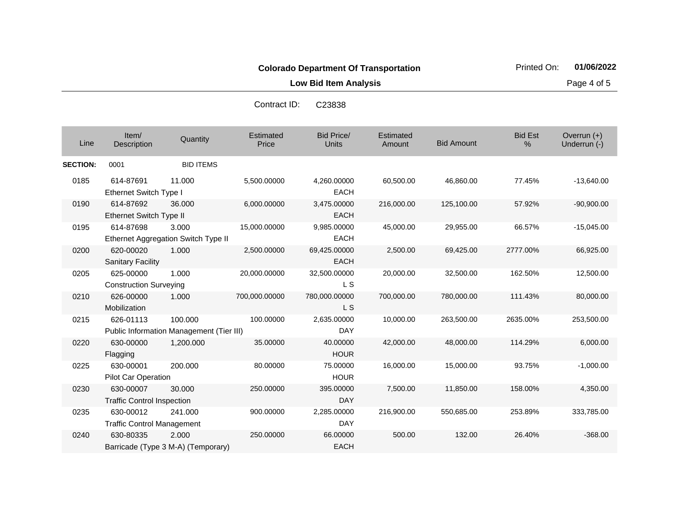60,500.00 46,860.00 77.45% -13,640.00

**Low Bid Item Analysis Page 4 of 5** 

|                |                               |                                     | Contract ID:       | C23838              |                     |                   |                        |                               |
|----------------|-------------------------------|-------------------------------------|--------------------|---------------------|---------------------|-------------------|------------------------|-------------------------------|
| Line           | Item/<br>Description          | Quantity                            | Estimated<br>Price | Bid Price/<br>Units | Estimated<br>Amount | <b>Bid Amount</b> | <b>Bid Est</b><br>$\%$ | Overrun $(+)$<br>Underrun (-) |
| <b>ECTION:</b> | 0001                          | <b>BID ITEMS</b>                    |                    |                     |                     |                   |                        |                               |
| 0185           | 614-87691                     | 11.000                              | 5,500.00000        | 4,260.00000         | 60,500.00           | 46.860.00         | 77.45%                 | $-13,640.0$                   |
|                | <b>Ethernet Switch Type I</b> |                                     |                    | <b>EACH</b>         |                     |                   |                        |                               |
| 0190           | 614-87692                     | 36,000                              | 6,000.00000        | 3,475.00000         | 216,000.00          | 125,100.00        | 57.92%                 | $-90,900.0$                   |
|                | Ethernet Switch Type II       |                                     |                    | <b>EACH</b>         |                     |                   |                        |                               |
| 0195           | 614-87698                     | 3.000                               | 15,000.00000       | 9,985.00000         | 45,000.00           | 29,955.00         | 66.57%                 | $-15,045.0$                   |
|                |                               | Ethernet Aggregation Switch Type II |                    | <b>EACH</b>         |                     |                   |                        |                               |
| 0200           | 620-00020                     | 1.000                               | 2,500.00000        | 69,425.00000        | 2,500.00            | 69,425.00         | 2777.00%               | 66,925.0                      |

**SECTION: 0001** 

| 0190 | 614-87692                                | 36.000    | 6,000.00000   | 3,475.00000   | 216,000.00 | 125.100.00 | 57.92%   | $-90,900.00$ |  |
|------|------------------------------------------|-----------|---------------|---------------|------------|------------|----------|--------------|--|
|      | Ethernet Switch Type II                  |           |               | <b>EACH</b>   |            |            |          |              |  |
| 0195 | 614-87698                                | 3.000     | 15,000.00000  | 9,985.00000   | 45,000.00  | 29,955.00  | 66.57%   | $-15,045.00$ |  |
|      | Ethernet Aggregation Switch Type II      |           |               | EACH          |            |            |          |              |  |
| 0200 | 620-00020                                | 1.000     | 2,500.00000   | 69,425.00000  | 2,500.00   | 69,425.00  | 2777.00% | 66,925.00    |  |
|      | <b>Sanitary Facility</b>                 |           |               | <b>EACH</b>   |            |            |          |              |  |
| 0205 | 625-00000                                | 1.000     | 20.000.00000  | 32,500.00000  | 20,000.00  | 32,500.00  | 162.50%  | 12,500.00    |  |
|      | <b>Construction Surveying</b>            |           |               | L S           |            |            |          |              |  |
| 0210 | 626-00000                                | 1.000     | 700,000.00000 | 780,000.00000 | 700,000.00 | 780,000.00 | 111.43%  | 80,000.00    |  |
|      | Mobilization                             |           |               | L S           |            |            |          |              |  |
| 0215 | 626-01113                                | 100.000   | 100.00000     | 2,635.00000   | 10,000.00  | 263,500.00 | 2635.00% | 253,500.00   |  |
|      | Public Information Management (Tier III) |           |               | DAY           |            |            |          |              |  |
| 0220 | 630-00000                                | 1,200.000 | 35.00000      | 40.00000      | 42,000.00  | 48,000.00  | 114.29%  | 6,000.00     |  |
|      | Flagging                                 |           |               | <b>HOUR</b>   |            |            |          |              |  |
| 0225 | 630-00001                                | 200.000   | 80.00000      | 75.00000      | 16,000.00  | 15,000.00  | 93.75%   | $-1,000.00$  |  |
|      | Pilot Car Operation                      |           |               | <b>HOUR</b>   |            |            |          |              |  |
| 0230 | 630-00007                                | 30.000    | 250.00000     | 395.00000     | 7,500.00   | 11,850.00  | 158.00%  | 4,350.00     |  |
|      | <b>Traffic Control Inspection</b>        |           |               | <b>DAY</b>    |            |            |          |              |  |
| 0235 | 630-00012                                | 241.000   | 900.00000     | 2,285.00000   | 216,900.00 | 550,685.00 | 253.89%  | 333,785.00   |  |
|      | <b>Traffic Control Management</b>        |           |               | <b>DAY</b>    |            |            |          |              |  |
| 0240 | 630-80335                                | 2.000     | 250,00000     | 66,00000      | 500.00     | 132.00     | 26.40%   | $-368.00$    |  |
|      | Barricade (Type 3 M-A) (Temporary)       |           |               | EACH          |            |            |          |              |  |